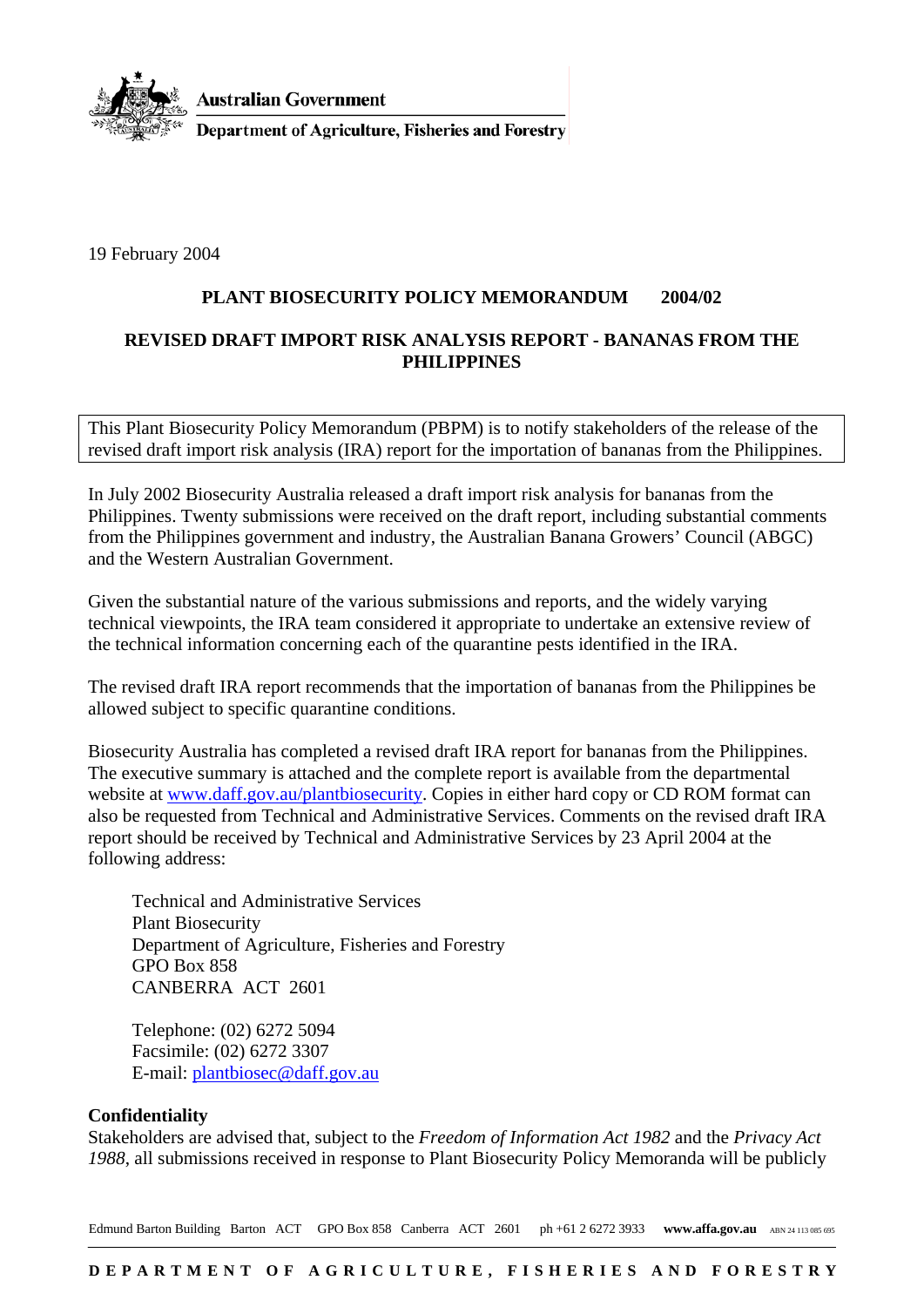

**Australian Government** 

**Department of Agriculture, Fisheries and Forestry** 

19 February 2004

## **PLANT BIOSECURITY POLICY MEMORANDUM 2004/02**

## **REVISED DRAFT IMPORT RISK ANALYSIS REPORT - BANANAS FROM THE PHILIPPINES**

This Plant Biosecurity Policy Memorandum (PBPM) is to notify stakeholders of the release of the revised draft import risk analysis (IRA) report for the importation of bananas from the Philippines.

In July 2002 Biosecurity Australia released a draft import risk analysis for bananas from the Philippines. Twenty submissions were received on the draft report, including substantial comments from the Philippines government and industry, the Australian Banana Growers' Council (ABGC) and the Western Australian Government.

Given the substantial nature of the various submissions and reports, and the widely varying technical viewpoints, the IRA team considered it appropriate to undertake an extensive review of the technical information concerning each of the quarantine pests identified in the IRA.

The revised draft IRA report recommends that the importation of bananas from the Philippines be allowed subject to specific quarantine conditions.

Biosecurity Australia has completed a revised draft IRA report for bananas from the Philippines. The executive summary is attached and the complete report is available from the departmental website at [www.daff.gov.au/plantbiosecurity](http://www.daff.gov.au/plantbiosecurity). Copies in either hard copy or CD ROM format can also be requested from Technical and Administrative Services. Comments on the revised draft IRA report should be received by Technical and Administrative Services by 23 April 2004 at the following address:

Technical and Administrative Services Plant Biosecurity Department of Agriculture, Fisheries and Forestry GPO Box 858 CANBERRA ACT 2601

Telephone: (02) 6272 5094 Facsimile: (02) 6272 3307 E-mail: [plantbiosec@daff.gov.au](mailto:plantbiosec@daff.gov.au)

#### **Confidentiality**

Stakeholders are advised that, subject to the *Freedom of Information Act 1982* and the *Privacy Act 1988*, all submissions received in response to Plant Biosecurity Policy Memoranda will be publicly

Edmund Barton Building Barton ACT GPO Box 858 Canberra ACT 2601 ph +61 2 6272 3933 www.affa.gov.au ABN 24 113 085 695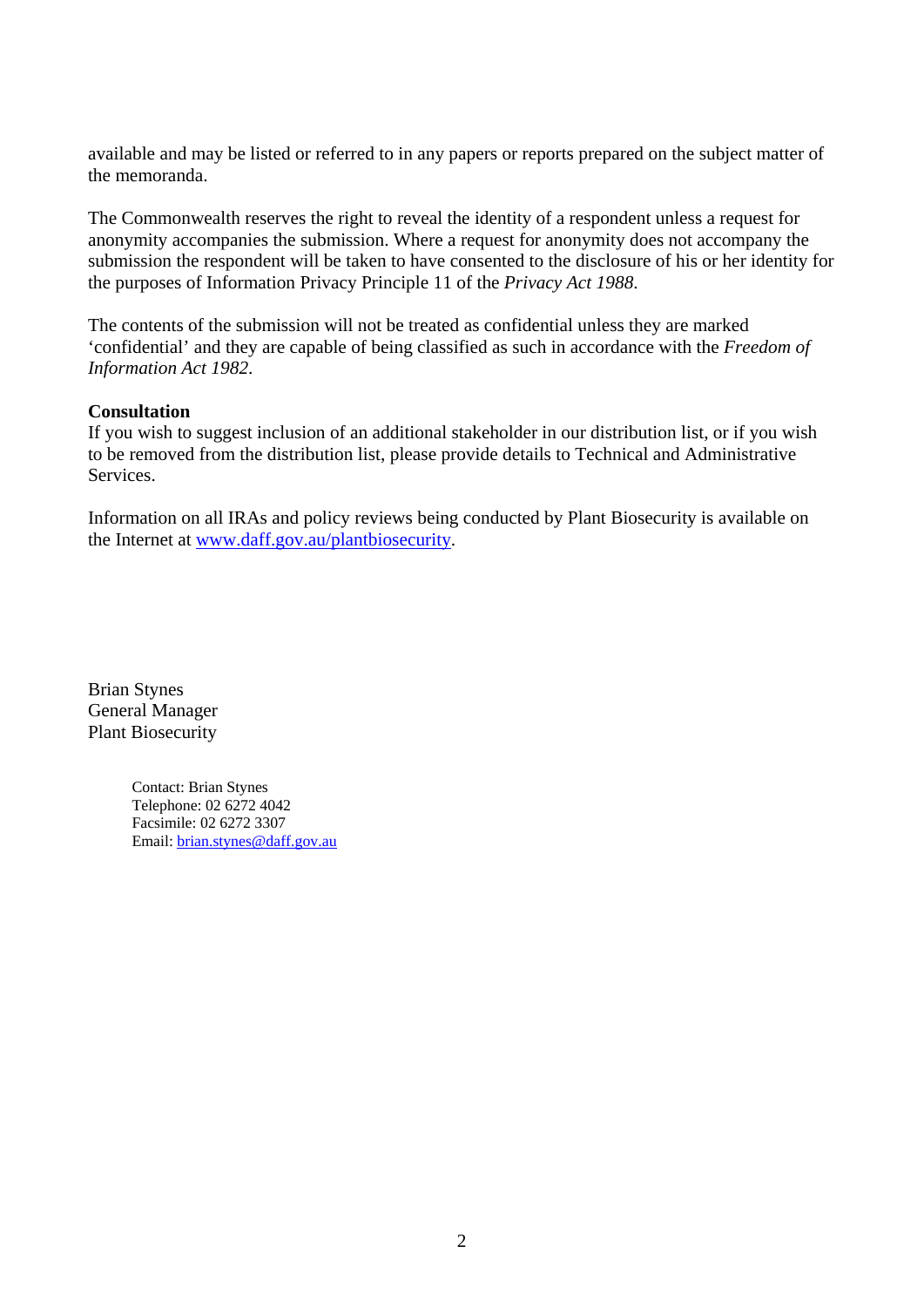available and may be listed or referred to in any papers or reports prepared on the subject matter of the memoranda.

The Commonwealth reserves the right to reveal the identity of a respondent unless a request for anonymity accompanies the submission. Where a request for anonymity does not accompany the submission the respondent will be taken to have consented to the disclosure of his or her identity for the purposes of Information Privacy Principle 11 of the *Privacy Act 1988*.

The contents of the submission will not be treated as confidential unless they are marked 'confidential' and they are capable of being classified as such in accordance with the *Freedom of Information Act 1982*.

## **Consultation**

If you wish to suggest inclusion of an additional stakeholder in our distribution list, or if you wish to be removed from the distribution list, please provide details to Technical and Administrative Services.

Information on all IRAs and policy reviews being conducted by Plant Biosecurity is available on the Internet at [www.daff.gov.au/plantbiosecurity.](http://www.daff.gov.au/plantbiosecurity)

Brian Stynes General Manager Plant Biosecurity

> Contact: Brian Stynes Telephone: 02 6272 4042 Facsimile: 02 6272 3307 Email: [brian.stynes@daff.gov.au](mailto:brian.stynes@daff.gov.au)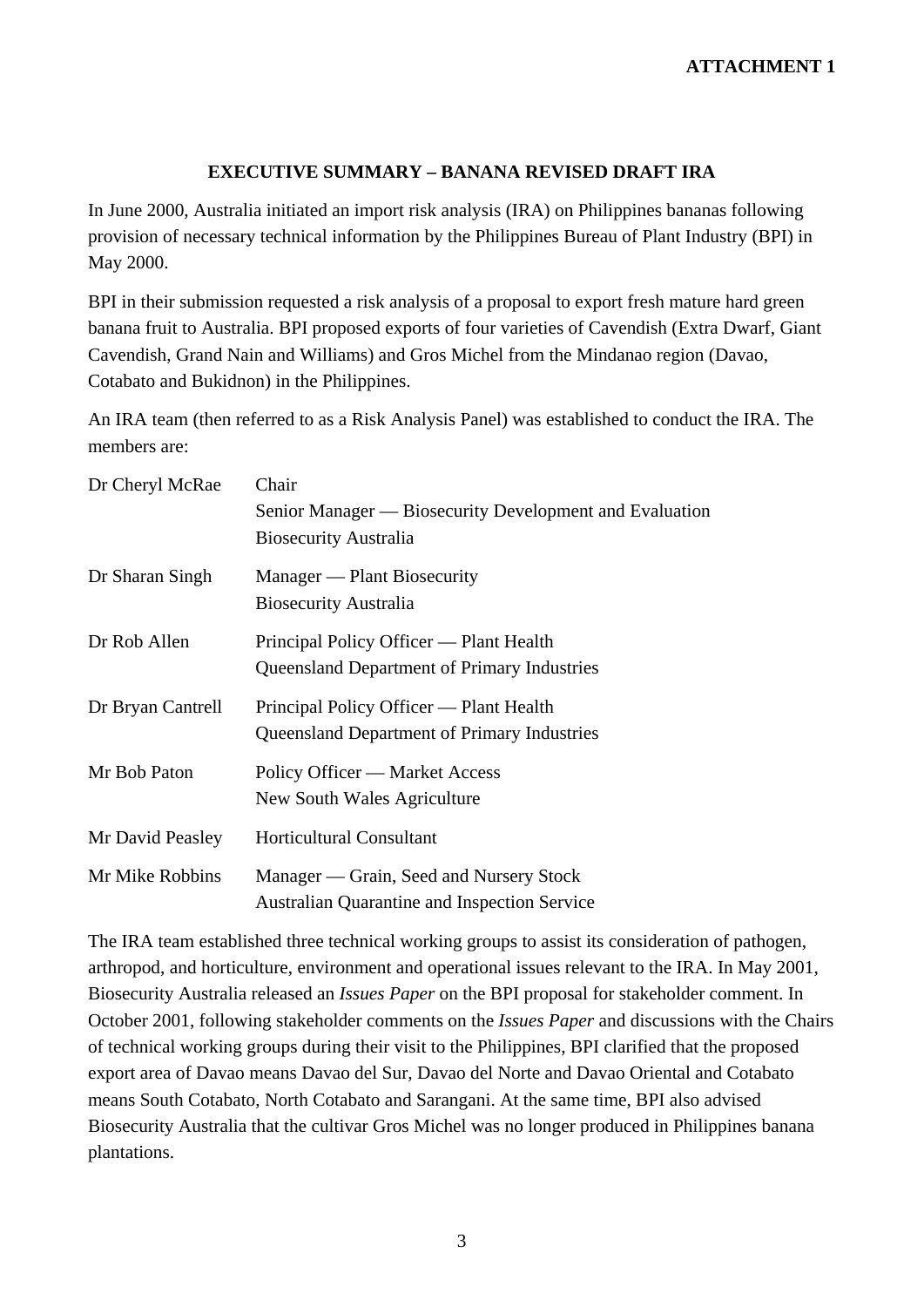# **EXECUTIVE SUMMARY – BANANA REVISED DRAFT IRA**

In June 2000, Australia initiated an import risk analysis (IRA) on Philippines bananas following provision of necessary technical information by the Philippines Bureau of Plant Industry (BPI) in May 2000.

BPI in their submission requested a risk analysis of a proposal to export fresh mature hard green banana fruit to Australia. BPI proposed exports of four varieties of Cavendish (Extra Dwarf, Giant Cavendish, Grand Nain and Williams) and Gros Michel from the Mindanao region (Davao, Cotabato and Bukidnon) in the Philippines.

An IRA team (then referred to as a Risk Analysis Panel) was established to conduct the IRA. The members are:

| Dr Cheryl McRae   | Chair<br>Senior Manager — Biosecurity Development and Evaluation<br><b>Biosecurity Australia</b> |
|-------------------|--------------------------------------------------------------------------------------------------|
| Dr Sharan Singh   | Manager — Plant Biosecurity<br><b>Biosecurity Australia</b>                                      |
| Dr Rob Allen      | Principal Policy Officer — Plant Health<br><b>Queensland Department of Primary Industries</b>    |
| Dr Bryan Cantrell | Principal Policy Officer — Plant Health<br><b>Queensland Department of Primary Industries</b>    |
| Mr Bob Paton      | Policy Officer — Market Access<br>New South Wales Agriculture                                    |
| Mr David Peasley  | <b>Horticultural Consultant</b>                                                                  |
| Mr Mike Robbins   | Manager — Grain, Seed and Nursery Stock<br><b>Australian Quarantine and Inspection Service</b>   |

The IRA team established three technical working groups to assist its consideration of pathogen, arthropod, and horticulture, environment and operational issues relevant to the IRA. In May 2001, Biosecurity Australia released an *Issues Paper* on the BPI proposal for stakeholder comment. In October 2001, following stakeholder comments on the *Issues Paper* and discussions with the Chairs of technical working groups during their visit to the Philippines, BPI clarified that the proposed export area of Davao means Davao del Sur, Davao del Norte and Davao Oriental and Cotabato means South Cotabato, North Cotabato and Sarangani. At the same time, BPI also advised Biosecurity Australia that the cultivar Gros Michel was no longer produced in Philippines banana plantations.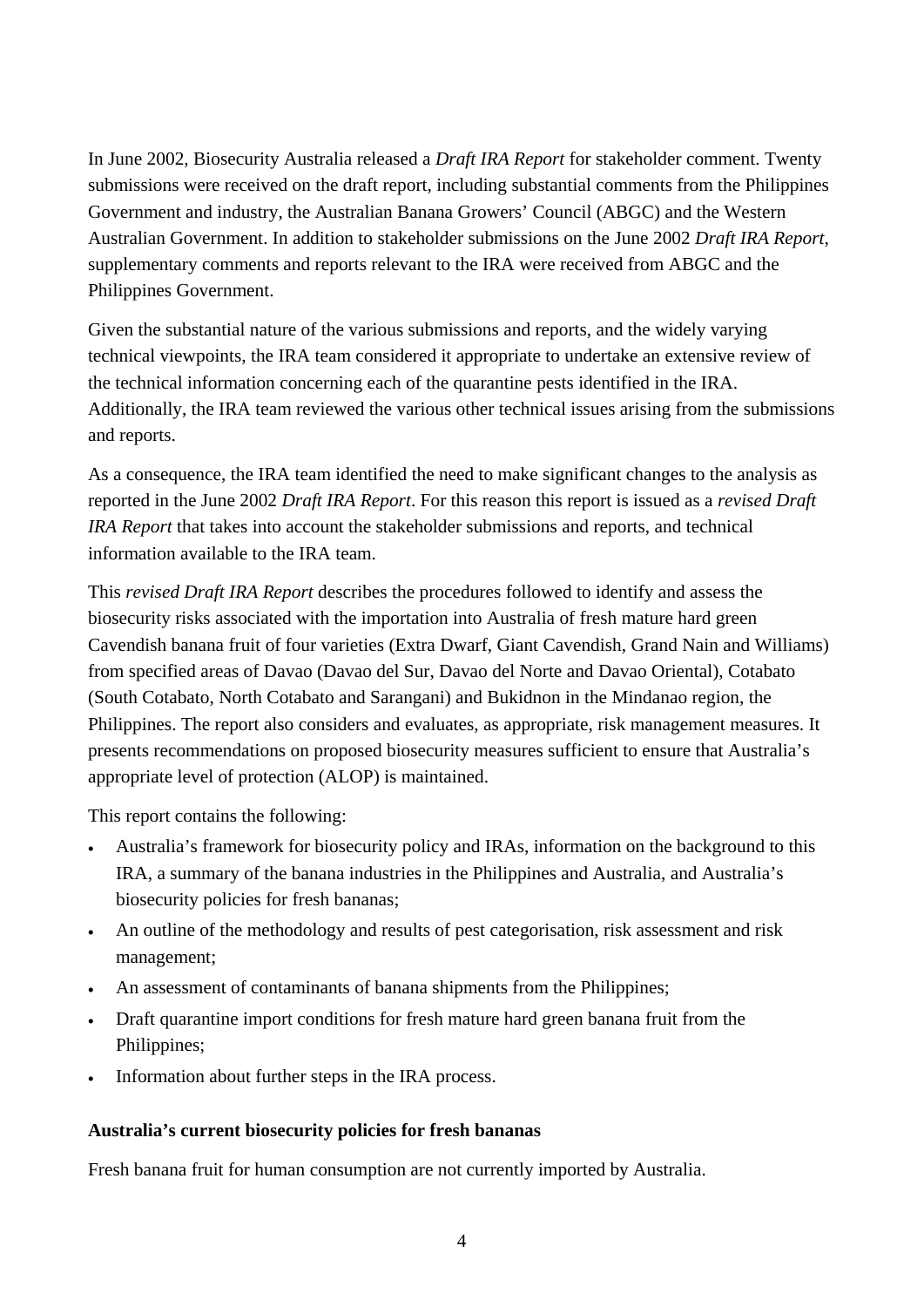In June 2002, Biosecurity Australia released a *Draft IRA Report* for stakeholder comment. Twenty submissions were received on the draft report, including substantial comments from the Philippines Government and industry, the Australian Banana Growers' Council (ABGC) and the Western Australian Government. In addition to stakeholder submissions on the June 2002 *Draft IRA Report*, supplementary comments and reports relevant to the IRA were received from ABGC and the Philippines Government.

Given the substantial nature of the various submissions and reports, and the widely varying technical viewpoints, the IRA team considered it appropriate to undertake an extensive review of the technical information concerning each of the quarantine pests identified in the IRA. Additionally, the IRA team reviewed the various other technical issues arising from the submissions and reports.

As a consequence, the IRA team identified the need to make significant changes to the analysis as reported in the June 2002 *Draft IRA Report*. For this reason this report is issued as a *revised Draft IRA Report* that takes into account the stakeholder submissions and reports, and technical information available to the IRA team.

This *revised Draft IRA Report* describes the procedures followed to identify and assess the biosecurity risks associated with the importation into Australia of fresh mature hard green Cavendish banana fruit of four varieties (Extra Dwarf, Giant Cavendish, Grand Nain and Williams) from specified areas of Davao (Davao del Sur, Davao del Norte and Davao Oriental), Cotabato (South Cotabato, North Cotabato and Sarangani) and Bukidnon in the Mindanao region, the Philippines. The report also considers and evaluates, as appropriate, risk management measures. It presents recommendations on proposed biosecurity measures sufficient to ensure that Australia's appropriate level of protection (ALOP) is maintained.

This report contains the following:

- Australia's framework for biosecurity policy and IRAs, information on the background to this IRA, a summary of the banana industries in the Philippines and Australia, and Australia's biosecurity policies for fresh bananas;
- An outline of the methodology and results of pest categorisation, risk assessment and risk management;
- An assessment of contaminants of banana shipments from the Philippines;
- Draft quarantine import conditions for fresh mature hard green banana fruit from the Philippines;
- Information about further steps in the IRA process.

#### **Australia's current biosecurity policies for fresh bananas**

Fresh banana fruit for human consumption are not currently imported by Australia.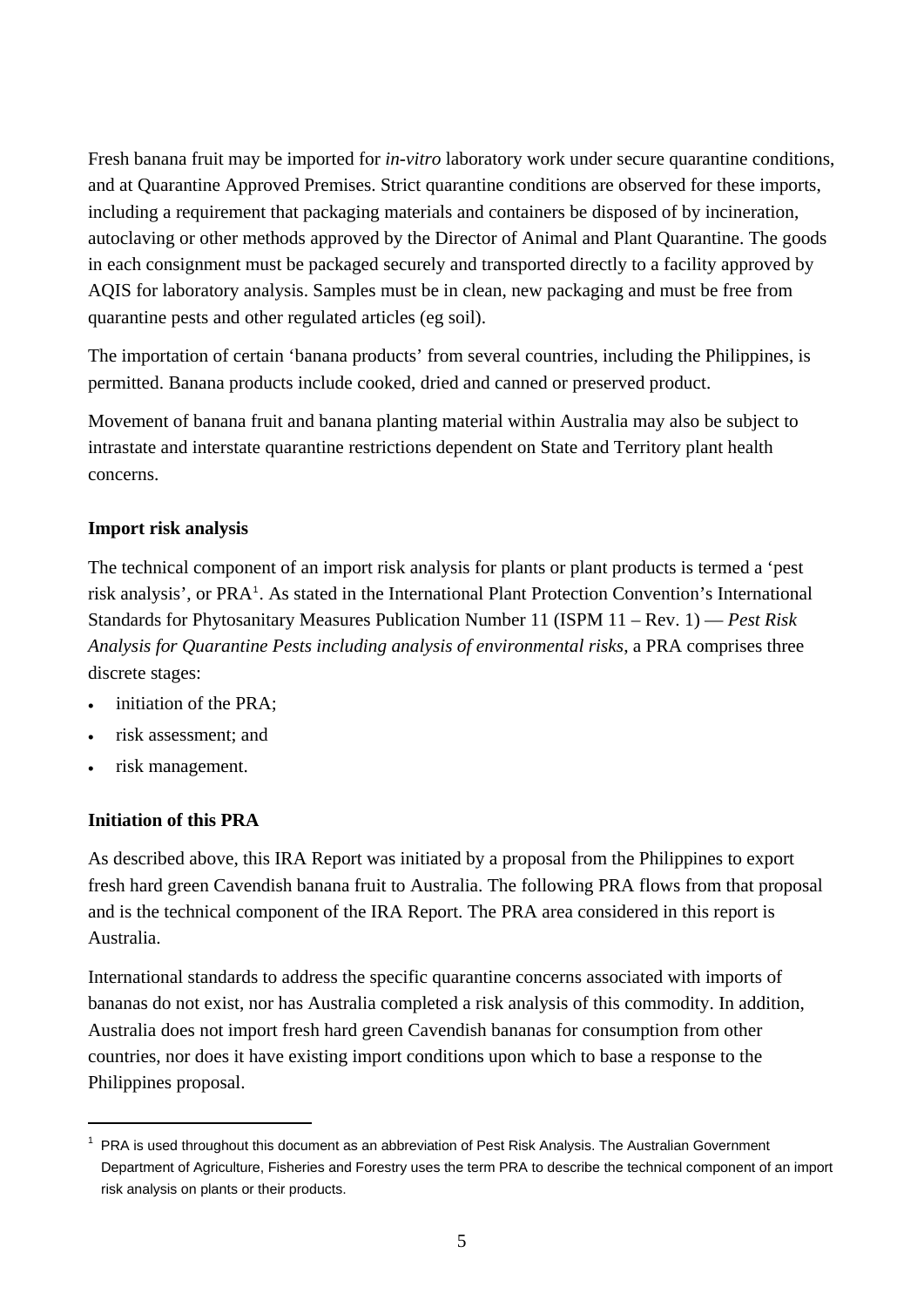Fresh banana fruit may be imported for *in-vitro* laboratory work under secure quarantine conditions, and at Quarantine Approved Premises. Strict quarantine conditions are observed for these imports, including a requirement that packaging materials and containers be disposed of by incineration, autoclaving or other methods approved by the Director of Animal and Plant Quarantine. The goods in each consignment must be packaged securely and transported directly to a facility approved by AQIS for laboratory analysis. Samples must be in clean, new packaging and must be free from quarantine pests and other regulated articles (eg soil).

The importation of certain 'banana products' from several countries, including the Philippines, is permitted. Banana products include cooked, dried and canned or preserved product.

Movement of banana fruit and banana planting material within Australia may also be subject to intrastate and interstate quarantine restrictions dependent on State and Territory plant health concerns.

# **Import risk analysis**

The technical component of an import risk analysis for plants or plant products is termed a 'pest risk analysis', or PRA<sup>[1](#page-4-0)</sup>. As stated in the International Plant Protection Convention's International Standards for Phytosanitary Measures Publication Number 11 (ISPM 11 – Rev. 1) — *Pest Risk Analysis for Quarantine Pests including analysis of environmental risks*, a PRA comprises three discrete stages:

- initiation of the PRA;
- risk assessment; and
- risk management.

# **Initiation of this PRA**

 $\overline{a}$ 

As described above, this IRA Report was initiated by a proposal from the Philippines to export fresh hard green Cavendish banana fruit to Australia. The following PRA flows from that proposal and is the technical component of the IRA Report. The PRA area considered in this report is Australia.

International standards to address the specific quarantine concerns associated with imports of bananas do not exist, nor has Australia completed a risk analysis of this commodity. In addition, Australia does not import fresh hard green Cavendish bananas for consumption from other countries, nor does it have existing import conditions upon which to base a response to the Philippines proposal.

<span id="page-4-0"></span><sup>&</sup>lt;sup>1</sup> PRA is used throughout this document as an abbreviation of Pest Risk Analysis. The Australian Government Department of Agriculture, Fisheries and Forestry uses the term PRA to describe the technical component of an import risk analysis on plants or their products.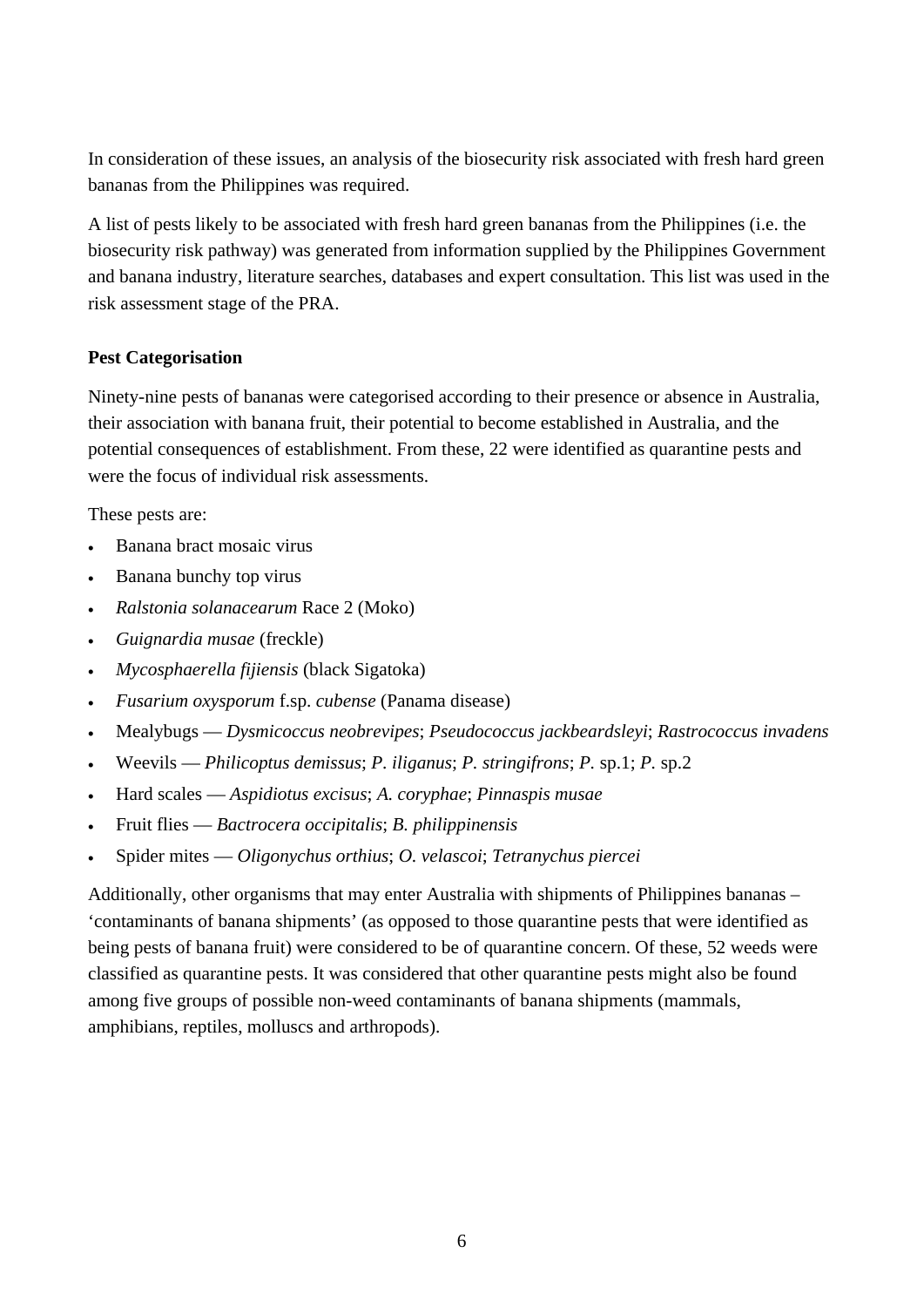In consideration of these issues, an analysis of the biosecurity risk associated with fresh hard green bananas from the Philippines was required.

A list of pests likely to be associated with fresh hard green bananas from the Philippines (i.e. the biosecurity risk pathway) was generated from information supplied by the Philippines Government and banana industry, literature searches, databases and expert consultation. This list was used in the risk assessment stage of the PRA.

## **Pest Categorisation**

Ninety-nine pests of bananas were categorised according to their presence or absence in Australia, their association with banana fruit, their potential to become established in Australia, and the potential consequences of establishment. From these, 22 were identified as quarantine pests and were the focus of individual risk assessments.

These pests are:

- Banana bract mosaic virus
- Banana bunchy top virus
- *Ralstonia solanacearum* Race 2 (Moko)
- *Guignardia musae* (freckle)
- *Mycosphaerella fijiensis* (black Sigatoka)
- *Fusarium oxysporum* f.sp. *cubense* (Panama disease)
- Mealybugs *Dysmicoccus neobrevipes*; *Pseudococcus jackbeardsleyi*; *Rastrococcus invadens*
- Weevils *Philicoptus demissus*; *P. iliganus*; *P. stringifrons*; *P.* sp.1; *P.* sp.2
- Hard scales *Aspidiotus excisus*; *A. coryphae*; *Pinnaspis musae*
- Fruit flies *Bactrocera occipitalis*; *B. philippinensis*
- Spider mites *Oligonychus orthius*; *O. velascoi*; *Tetranychus piercei*

Additionally, other organisms that may enter Australia with shipments of Philippines bananas – 'contaminants of banana shipments' (as opposed to those quarantine pests that were identified as being pests of banana fruit) were considered to be of quarantine concern. Of these, 52 weeds were classified as quarantine pests. It was considered that other quarantine pests might also be found among five groups of possible non-weed contaminants of banana shipments (mammals, amphibians, reptiles, molluscs and arthropods).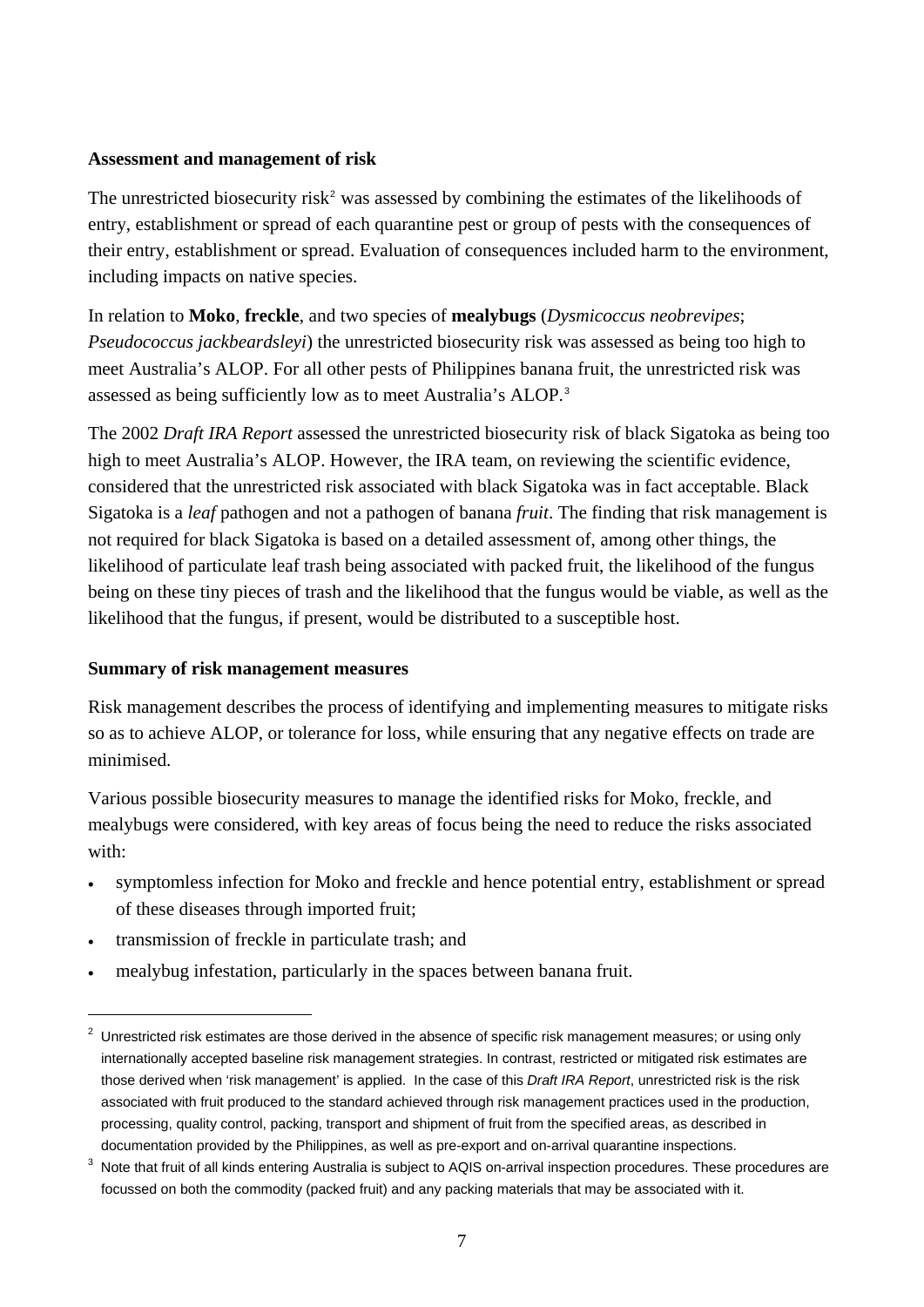## **Assessment and management of risk**

The unrestricted biosecurity risk<sup>[2](#page-6-0)</sup> was assessed by combining the estimates of the likelihoods of entry, establishment or spread of each quarantine pest or group of pests with the consequences of their entry, establishment or spread. Evaluation of consequences included harm to the environment, including impacts on native species.

In relation to **Moko**, **freckle**, and two species of **mealybugs** (*Dysmicoccus neobrevipes*; *Pseudococcus jackbeardsleyi*) the unrestricted biosecurity risk was assessed as being too high to meet Australia's ALOP. For all other pests of Philippines banana fruit, the unrestricted risk was assessed as being sufficiently low as to meet Australia's ALOP.[3](#page-6-1)

The 2002 *Draft IRA Report* assessed the unrestricted biosecurity risk of black Sigatoka as being too high to meet Australia's ALOP. However, the IRA team, on reviewing the scientific evidence, considered that the unrestricted risk associated with black Sigatoka was in fact acceptable. Black Sigatoka is a *leaf* pathogen and not a pathogen of banana *fruit*. The finding that risk management is not required for black Sigatoka is based on a detailed assessment of, among other things, the likelihood of particulate leaf trash being associated with packed fruit, the likelihood of the fungus being on these tiny pieces of trash and the likelihood that the fungus would be viable, as well as the likelihood that the fungus, if present, would be distributed to a susceptible host.

## **Summary of risk management measures**

Risk management describes the process of identifying and implementing measures to mitigate risks so as to achieve ALOP, or tolerance for loss, while ensuring that any negative effects on trade are minimised.

Various possible biosecurity measures to manage the identified risks for Moko, freckle, and mealybugs were considered, with key areas of focus being the need to reduce the risks associated with:

- symptomless infection for Moko and freckle and hence potential entry, establishment or spread of these diseases through imported fruit;
- transmission of freckle in particulate trash; and

mealybug infestation, particularly in the spaces between banana fruit.

<span id="page-6-0"></span> $2$  Unrestricted risk estimates are those derived in the absence of specific risk management measures; or using only internationally accepted baseline risk management strategies. In contrast, restricted or mitigated risk estimates are those derived when 'risk management' is applied. In the case of this *Draft IRA Report*, unrestricted risk is the risk associated with fruit produced to the standard achieved through risk management practices used in the production, processing, quality control, packing, transport and shipment of fruit from the specified areas, as described in documentation provided by the Philippines, as well as pre-export and on-arrival quarantine inspections.

<span id="page-6-1"></span> $3$  Note that fruit of all kinds entering Australia is subject to AQIS on-arrival inspection procedures. These procedures are focussed on both the commodity (packed fruit) and any packing materials that may be associated with it.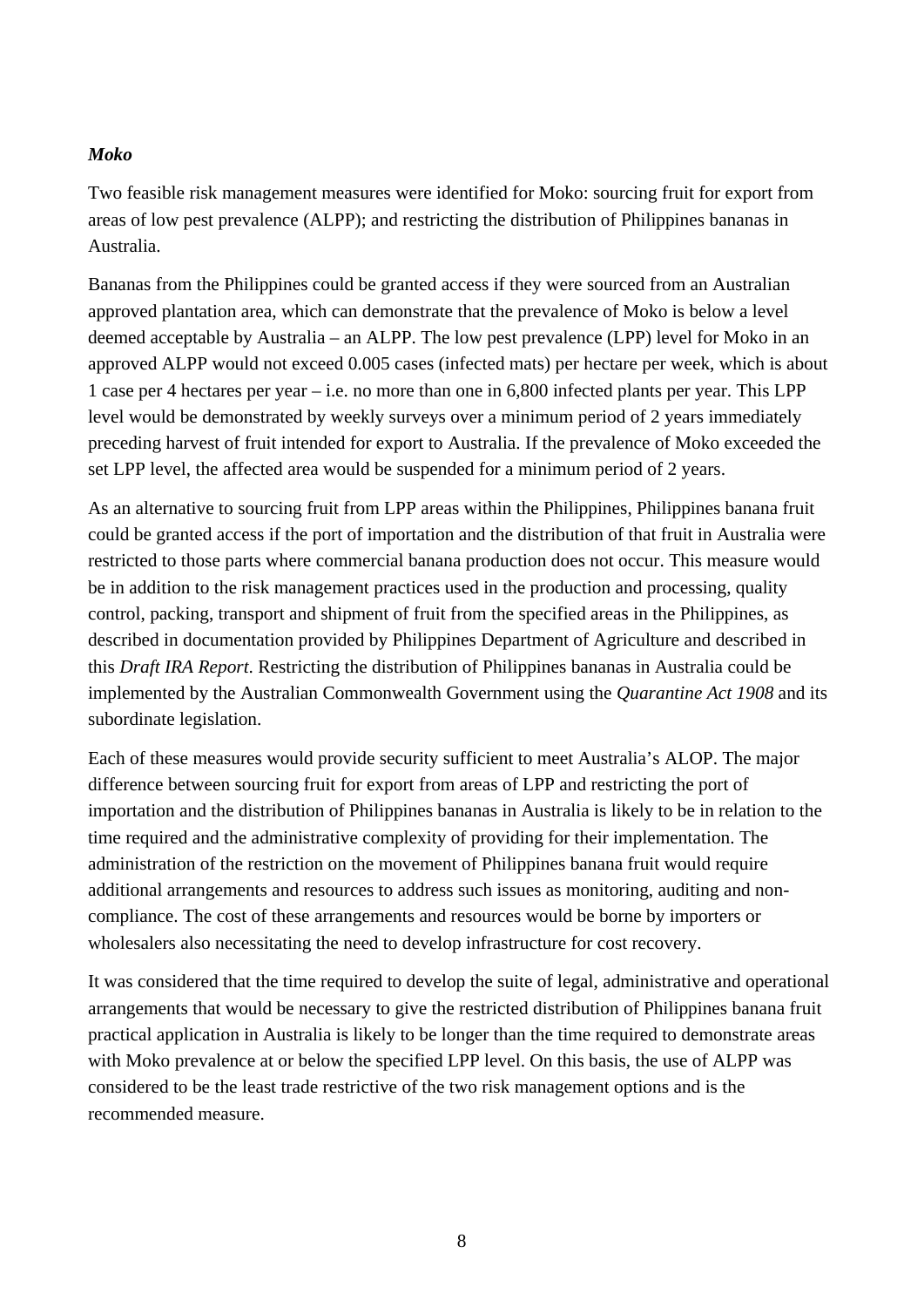#### *Moko*

Two feasible risk management measures were identified for Moko: sourcing fruit for export from areas of low pest prevalence (ALPP); and restricting the distribution of Philippines bananas in Australia.

Bananas from the Philippines could be granted access if they were sourced from an Australian approved plantation area, which can demonstrate that the prevalence of Moko is below a level deemed acceptable by Australia – an ALPP. The low pest prevalence (LPP) level for Moko in an approved ALPP would not exceed 0.005 cases (infected mats) per hectare per week, which is about 1 case per 4 hectares per year – i.e. no more than one in 6,800 infected plants per year. This LPP level would be demonstrated by weekly surveys over a minimum period of 2 years immediately preceding harvest of fruit intended for export to Australia. If the prevalence of Moko exceeded the set LPP level, the affected area would be suspended for a minimum period of 2 years.

As an alternative to sourcing fruit from LPP areas within the Philippines, Philippines banana fruit could be granted access if the port of importation and the distribution of that fruit in Australia were restricted to those parts where commercial banana production does not occur. This measure would be in addition to the risk management practices used in the production and processing, quality control, packing, transport and shipment of fruit from the specified areas in the Philippines, as described in documentation provided by Philippines Department of Agriculture and described in this *Draft IRA Report*. Restricting the distribution of Philippines bananas in Australia could be implemented by the Australian Commonwealth Government using the *Quarantine Act 1908* and its subordinate legislation.

Each of these measures would provide security sufficient to meet Australia's ALOP. The major difference between sourcing fruit for export from areas of LPP and restricting the port of importation and the distribution of Philippines bananas in Australia is likely to be in relation to the time required and the administrative complexity of providing for their implementation. The administration of the restriction on the movement of Philippines banana fruit would require additional arrangements and resources to address such issues as monitoring, auditing and noncompliance. The cost of these arrangements and resources would be borne by importers or wholesalers also necessitating the need to develop infrastructure for cost recovery.

It was considered that the time required to develop the suite of legal, administrative and operational arrangements that would be necessary to give the restricted distribution of Philippines banana fruit practical application in Australia is likely to be longer than the time required to demonstrate areas with Moko prevalence at or below the specified LPP level. On this basis, the use of ALPP was considered to be the least trade restrictive of the two risk management options and is the recommended measure.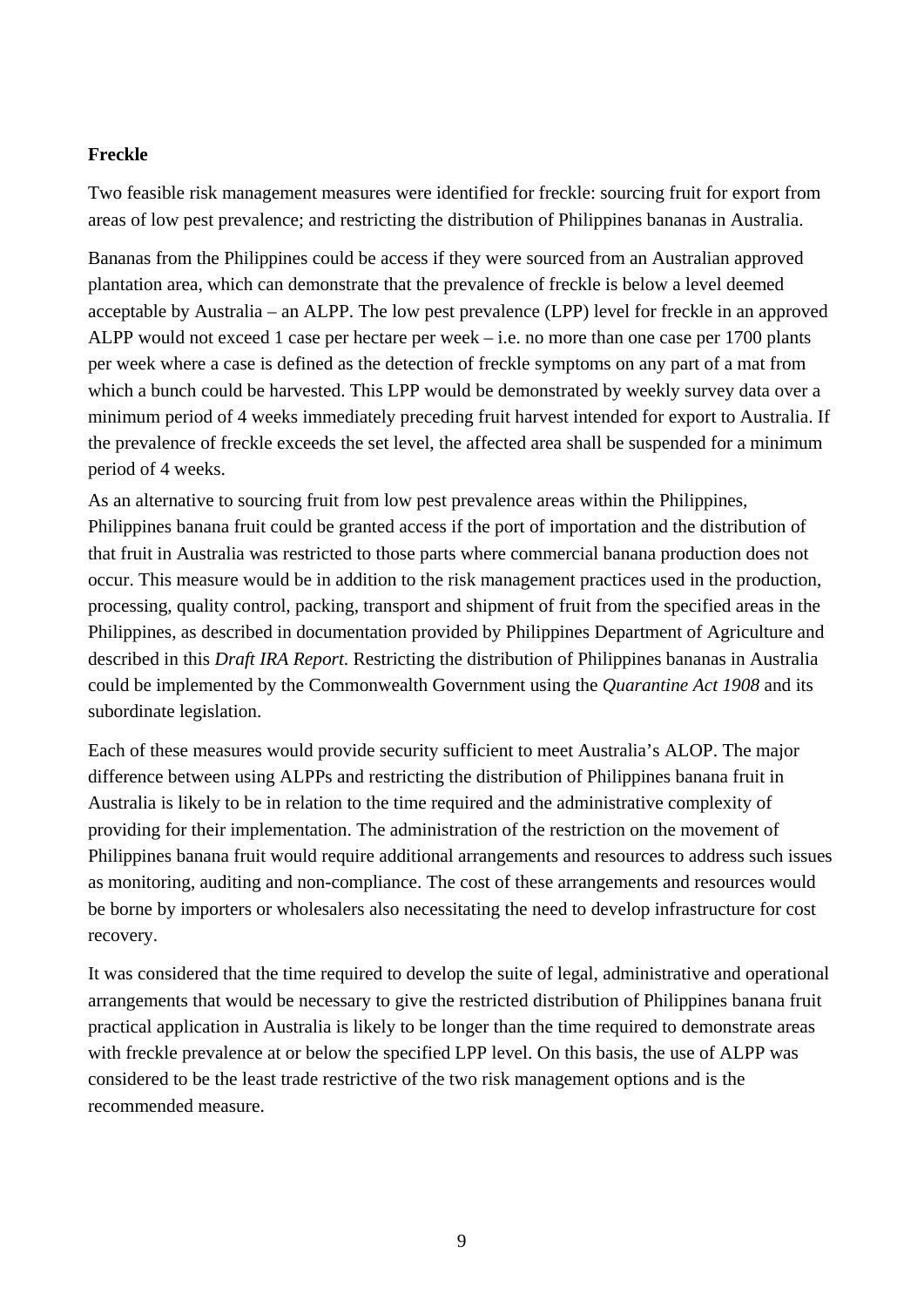### **Freckle**

Two feasible risk management measures were identified for freckle: sourcing fruit for export from areas of low pest prevalence; and restricting the distribution of Philippines bananas in Australia.

Bananas from the Philippines could be access if they were sourced from an Australian approved plantation area, which can demonstrate that the prevalence of freckle is below a level deemed acceptable by Australia – an ALPP. The low pest prevalence (LPP) level for freckle in an approved ALPP would not exceed 1 case per hectare per week – i.e. no more than one case per 1700 plants per week where a case is defined as the detection of freckle symptoms on any part of a mat from which a bunch could be harvested. This LPP would be demonstrated by weekly survey data over a minimum period of 4 weeks immediately preceding fruit harvest intended for export to Australia. If the prevalence of freckle exceeds the set level, the affected area shall be suspended for a minimum period of 4 weeks.

As an alternative to sourcing fruit from low pest prevalence areas within the Philippines, Philippines banana fruit could be granted access if the port of importation and the distribution of that fruit in Australia was restricted to those parts where commercial banana production does not occur. This measure would be in addition to the risk management practices used in the production, processing, quality control, packing, transport and shipment of fruit from the specified areas in the Philippines, as described in documentation provided by Philippines Department of Agriculture and described in this *Draft IRA Report*. Restricting the distribution of Philippines bananas in Australia could be implemented by the Commonwealth Government using the *Quarantine Act 1908* and its subordinate legislation.

Each of these measures would provide security sufficient to meet Australia's ALOP. The major difference between using ALPPs and restricting the distribution of Philippines banana fruit in Australia is likely to be in relation to the time required and the administrative complexity of providing for their implementation. The administration of the restriction on the movement of Philippines banana fruit would require additional arrangements and resources to address such issues as monitoring, auditing and non-compliance. The cost of these arrangements and resources would be borne by importers or wholesalers also necessitating the need to develop infrastructure for cost recovery.

It was considered that the time required to develop the suite of legal, administrative and operational arrangements that would be necessary to give the restricted distribution of Philippines banana fruit practical application in Australia is likely to be longer than the time required to demonstrate areas with freckle prevalence at or below the specified LPP level. On this basis, the use of ALPP was considered to be the least trade restrictive of the two risk management options and is the recommended measure.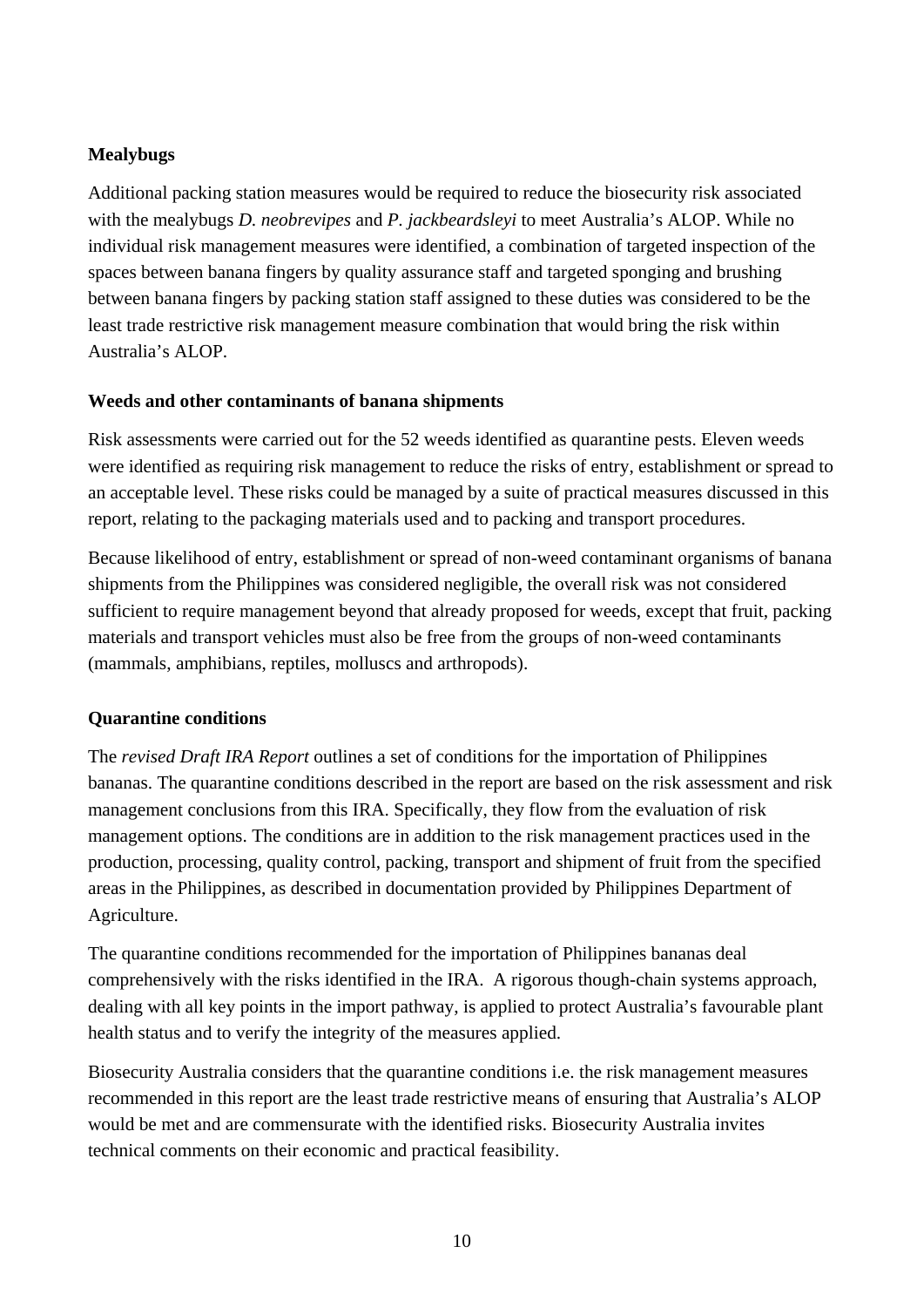## **Mealybugs**

Additional packing station measures would be required to reduce the biosecurity risk associated with the mealybugs *D. neobrevipes* and *P. jackbeardsleyi* to meet Australia's ALOP. While no individual risk management measures were identified, a combination of targeted inspection of the spaces between banana fingers by quality assurance staff and targeted sponging and brushing between banana fingers by packing station staff assigned to these duties was considered to be the least trade restrictive risk management measure combination that would bring the risk within Australia's ALOP.

## **Weeds and other contaminants of banana shipments**

Risk assessments were carried out for the 52 weeds identified as quarantine pests. Eleven weeds were identified as requiring risk management to reduce the risks of entry, establishment or spread to an acceptable level. These risks could be managed by a suite of practical measures discussed in this report, relating to the packaging materials used and to packing and transport procedures.

Because likelihood of entry, establishment or spread of non-weed contaminant organisms of banana shipments from the Philippines was considered negligible, the overall risk was not considered sufficient to require management beyond that already proposed for weeds, except that fruit, packing materials and transport vehicles must also be free from the groups of non-weed contaminants (mammals, amphibians, reptiles, molluscs and arthropods).

## **Quarantine conditions**

The *revised Draft IRA Report* outlines a set of conditions for the importation of Philippines bananas. The quarantine conditions described in the report are based on the risk assessment and risk management conclusions from this IRA. Specifically, they flow from the evaluation of risk management options. The conditions are in addition to the risk management practices used in the production, processing, quality control, packing, transport and shipment of fruit from the specified areas in the Philippines, as described in documentation provided by Philippines Department of Agriculture.

The quarantine conditions recommended for the importation of Philippines bananas deal comprehensively with the risks identified in the IRA. A rigorous though-chain systems approach, dealing with all key points in the import pathway, is applied to protect Australia's favourable plant health status and to verify the integrity of the measures applied.

Biosecurity Australia considers that the quarantine conditions i.e. the risk management measures recommended in this report are the least trade restrictive means of ensuring that Australia's ALOP would be met and are commensurate with the identified risks. Biosecurity Australia invites technical comments on their economic and practical feasibility.